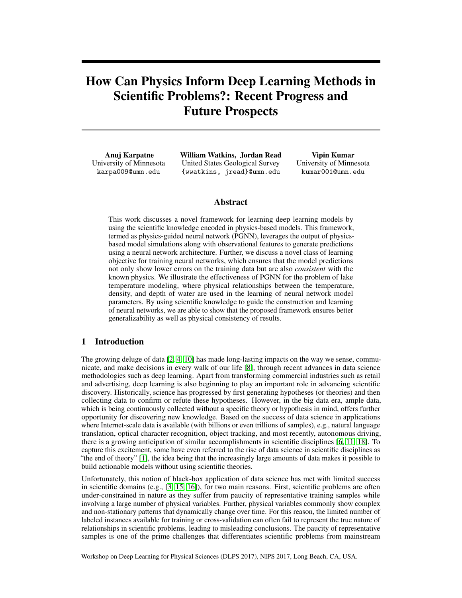# How Can Physics Inform Deep Learning Methods in Scientific Problems?: Recent Progress and Future Prospects

Anuj Karpatne University of Minnesota karpa009@umn.edu

William Watkins, Jordan Read United States Geological Survey {wwatkins, jread}@umn.edu

Vipin Kumar University of Minnesota kumar001@umn.edu

## Abstract

This work discusses a novel framework for learning deep learning models by using the scientific knowledge encoded in physics-based models. This framework, termed as physics-guided neural network (PGNN), leverages the output of physicsbased model simulations along with observational features to generate predictions using a neural network architecture. Further, we discuss a novel class of learning objective for training neural networks, which ensures that the model predictions not only show lower errors on the training data but are also *consistent* with the known physics. We illustrate the effectiveness of PGNN for the problem of lake temperature modeling, where physical relationships between the temperature, density, and depth of water are used in the learning of neural network model parameters. By using scientific knowledge to guide the construction and learning of neural networks, we are able to show that the proposed framework ensures better generalizability as well as physical consistency of results.

## 1 Introduction

The growing deluge of data [\[2,](#page-3-0) [4,](#page-3-1) [10\]](#page-3-2) has made long-lasting impacts on the way we sense, communicate, and make decisions in every walk of our life [\[8\]](#page-3-3), through recent advances in data science methodologies such as deep learning. Apart from transforming commercial industries such as retail and advertising, deep learning is also beginning to play an important role in advancing scientific discovery. Historically, science has progressed by first generating hypotheses (or theories) and then collecting data to confirm or refute these hypotheses. However, in the big data era, ample data, which is being continuously collected without a specific theory or hypothesis in mind, offers further opportunity for discovering new knowledge. Based on the success of data science in applications where Internet-scale data is available (with billions or even trillions of samples), e.g., natural language translation, optical character recognition, object tracking, and most recently, autonomous driving, there is a growing anticipation of similar accomplishments in scientific disciplines [\[6,](#page-3-4) [11,](#page-3-5) [18\]](#page-4-0). To capture this excitement, some have even referred to the rise of data science in scientific disciplines as "the end of theory" [\[1\]](#page-3-6), the idea being that the increasingly large amounts of data makes it possible to build actionable models without using scientific theories.

Unfortunately, this notion of black-box application of data science has met with limited success in scientific domains (e.g., [\[3,](#page-3-7) [15,](#page-4-1) [16\]](#page-4-2)), for two main reasons. First, scientific problems are often under-constrained in nature as they suffer from paucity of representative training samples while involving a large number of physical variables. Further, physical variables commonly show complex and non-stationary patterns that dynamically change over time. For this reason, the limited number of labeled instances available for training or cross-validation can often fail to represent the true nature of relationships in scientific problems, leading to misleading conclusions. The paucity of representative samples is one of the prime challenges that differentiates scientific problems from mainstream

Workshop on Deep Learning for Physical Sciences (DLPS 2017), NIPS 2017, Long Beach, CA, USA.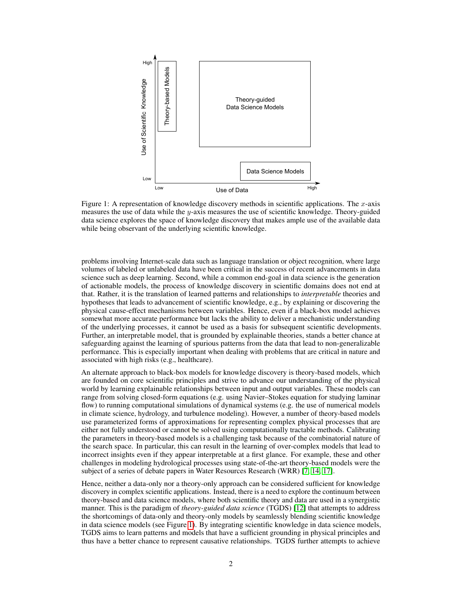

<span id="page-1-0"></span>Figure 1: A representation of knowledge discovery methods in scientific applications. The  $x$ -axis measures the use of data while the y-axis measures the use of scientific knowledge. Theory-guided data science explores the space of knowledge discovery that makes ample use of the available data while being observant of the underlying scientific knowledge.

problems involving Internet-scale data such as language translation or object recognition, where large volumes of labeled or unlabeled data have been critical in the success of recent advancements in data science such as deep learning. Second, while a common end-goal in data science is the generation of actionable models, the process of knowledge discovery in scientific domains does not end at that. Rather, it is the translation of learned patterns and relationships to *interpretable* theories and hypotheses that leads to advancement of scientific knowledge, e.g., by explaining or discovering the physical cause-effect mechanisms between variables. Hence, even if a black-box model achieves somewhat more accurate performance but lacks the ability to deliver a mechanistic understanding of the underlying processes, it cannot be used as a basis for subsequent scientific developments. Further, an interpretable model, that is grounded by explainable theories, stands a better chance at safeguarding against the learning of spurious patterns from the data that lead to non-generalizable performance. This is especially important when dealing with problems that are critical in nature and associated with high risks (e.g., healthcare).

An alternate approach to black-box models for knowledge discovery is theory-based models, which are founded on core scientific principles and strive to advance our understanding of the physical world by learning explainable relationships between input and output variables. These models can range from solving closed-form equations (e.g. using Navier–Stokes equation for studying laminar flow) to running computational simulations of dynamical systems (e.g. the use of numerical models in climate science, hydrology, and turbulence modeling). However, a number of theory-based models use parameterized forms of approximations for representing complex physical processes that are either not fully understood or cannot be solved using computationally tractable methods. Calibrating the parameters in theory-based models is a challenging task because of the combinatorial nature of the search space. In particular, this can result in the learning of over-complex models that lead to incorrect insights even if they appear interpretable at a first glance. For example, these and other challenges in modeling hydrological processes using state-of-the-art theory-based models were the subject of a series of debate papers in Water Resources Research (WRR) [\[7,](#page-3-8) [14,](#page-4-3) [17\]](#page-4-4).

Hence, neither a data-only nor a theory-only approach can be considered sufficient for knowledge discovery in complex scientific applications. Instead, there is a need to explore the continuum between theory-based and data science models, where both scientific theory and data are used in a synergistic manner. This is the paradigm of *theory-guided data science* (TGDS) [\[12\]](#page-4-5) that attempts to address the shortcomings of data-only and theory-only models by seamlessly blending scientific knowledge in data science models (see Figure [1\)](#page-1-0). By integrating scientific knowledge in data science models, TGDS aims to learn patterns and models that have a sufficient grounding in physical principles and thus have a better chance to represent causative relationships. TGDS further attempts to achieve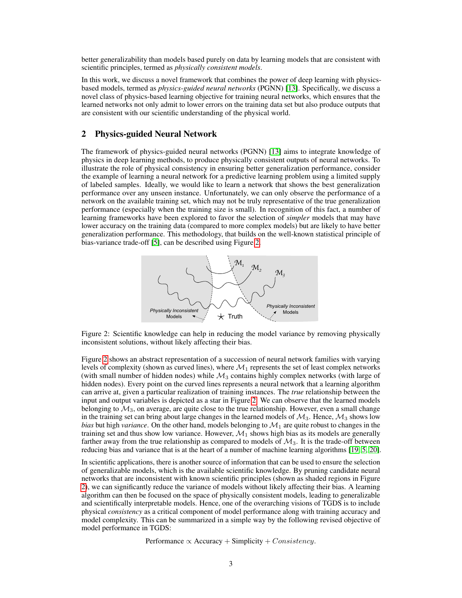better generalizability than models based purely on data by learning models that are consistent with scientific principles, termed as *physically consistent models*.

In this work, we discuss a novel framework that combines the power of deep learning with physicsbased models, termed as *physics-guided neural networks* (PGNN) [\[13\]](#page-4-6). Specifically, we discuss a novel class of physics-based learning objective for training neural networks, which ensures that the learned networks not only admit to lower errors on the training data set but also produce outputs that are consistent with our scientific understanding of the physical world.

## 2 Physics-guided Neural Network

The framework of physics-guided neural networks (PGNN) [\[13\]](#page-4-6) aims to integrate knowledge of physics in deep learning methods, to produce physically consistent outputs of neural networks. To illustrate the role of physical consistency in ensuring better generalization performance, consider the example of learning a neural network for a predictive learning problem using a limited supply of labeled samples. Ideally, we would like to learn a network that shows the best generalization performance over any unseen instance. Unfortunately, we can only observe the performance of a network on the available training set, which may not be truly representative of the true generalization performance (especially when the training size is small). In recognition of this fact, a number of learning frameworks have been explored to favor the selection of *simpler* models that may have lower accuracy on the training data (compared to more complex models) but are likely to have better generalization performance. This methodology, that builds on the well-known statistical principle of bias-variance trade-off [\[5\]](#page-3-9), can be described using Figure [2.](#page-2-0)



<span id="page-2-0"></span>Figure 2: Scientific knowledge can help in reducing the model variance by removing physically inconsistent solutions, without likely affecting their bias.

Figure [2](#page-2-0) shows an abstract representation of a succession of neural network families with varying levels of complexity (shown as curved lines), where  $\mathcal{M}_1$  represents the set of least complex networks (with small number of hidden nodes) while  $\mathcal{M}_3$  contains highly complex networks (with large of hidden nodes). Every point on the curved lines represents a neural network that a learning algorithm can arrive at, given a particular realization of training instances. The *true* relationship between the input and output variables is depicted as a star in Figure [2.](#page-2-0) We can observe that the learned models belonging to  $\mathcal{M}_3$ , on average, are quite close to the true relationship. However, even a small change in the training set can bring about large changes in the learned models of  $\mathcal{M}_3$ . Hence,  $\mathcal{M}_3$  shows low *bias* but high *variance*. On the other hand, models belonging to  $\mathcal{M}_1$  are quite robust to changes in the training set and thus show low variance. However,  $\mathcal{M}_1$  shows high bias as its models are generally farther away from the true relationship as compared to models of  $\mathcal{M}_3$ . It is the trade-off between reducing bias and variance that is at the heart of a number of machine learning algorithms [\[19,](#page-4-7) [5,](#page-3-9) [20\]](#page-4-8).

In scientific applications, there is another source of information that can be used to ensure the selection of generalizable models, which is the available scientific knowledge. By pruning candidate neural networks that are inconsistent with known scientific principles (shown as shaded regions in Figure [2\)](#page-2-0), we can significantly reduce the variance of models without likely affecting their bias. A learning algorithm can then be focused on the space of physically consistent models, leading to generalizable and scientifically interpretable models. Hence, one of the overarching visions of TGDS is to include physical *consistency* as a critical component of model performance along with training accuracy and model complexity. This can be summarized in a simple way by the following revised objective of model performance in TGDS:

Performance  $\propto$  Accuracy + Simplicity + Consistency.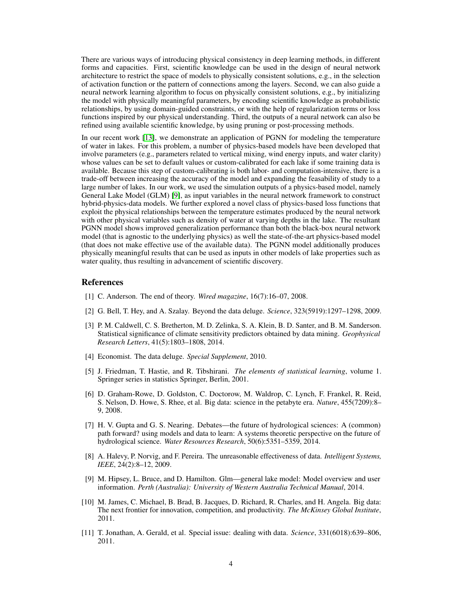There are various ways of introducing physical consistency in deep learning methods, in different forms and capacities. First, scientific knowledge can be used in the design of neural network architecture to restrict the space of models to physically consistent solutions, e.g., in the selection of activation function or the pattern of connections among the layers. Second, we can also guide a neural network learning algorithm to focus on physically consistent solutions, e.g., by initializing the model with physically meaningful parameters, by encoding scientific knowledge as probabilistic relationships, by using domain-guided constraints, or with the help of regularization terms or loss functions inspired by our physical understanding. Third, the outputs of a neural network can also be refined using available scientific knowledge, by using pruning or post-processing methods.

In our recent work [\[13\]](#page-4-6), we demonstrate an application of PGNN for modeling the temperature of water in lakes. For this problem, a number of physics-based models have been developed that involve parameters (e.g., parameters related to vertical mixing, wind energy inputs, and water clarity) whose values can be set to default values or custom-calibrated for each lake if some training data is available. Because this step of custom-calibrating is both labor- and computation-intensive, there is a trade-off between increasing the accuracy of the model and expanding the feasability of study to a large number of lakes. In our work, we used the simulation outputs of a physics-based model, namely General Lake Model (GLM) [\[9\]](#page-3-10), as input variables in the neural network framework to construct hybrid-physics-data models. We further explored a novel class of physics-based loss functions that exploit the physical relationships between the temperature estimates produced by the neural network with other physical variables such as density of water at varying depths in the lake. The resultant PGNN model shows improved generalization performance than both the black-box neural network model (that is agnostic to the underlying physics) as well the state-of-the-art physics-based model (that does not make effective use of the available data). The PGNN model additionally produces physically meaningful results that can be used as inputs in other models of lake properties such as water quality, thus resulting in advancement of scientific discovery.

#### References

- <span id="page-3-6"></span>[1] C. Anderson. The end of theory. *Wired magazine*, 16(7):16–07, 2008.
- <span id="page-3-0"></span>[2] G. Bell, T. Hey, and A. Szalay. Beyond the data deluge. *Science*, 323(5919):1297–1298, 2009.
- <span id="page-3-7"></span>[3] P. M. Caldwell, C. S. Bretherton, M. D. Zelinka, S. A. Klein, B. D. Santer, and B. M. Sanderson. Statistical significance of climate sensitivity predictors obtained by data mining. *Geophysical Research Letters*, 41(5):1803–1808, 2014.
- <span id="page-3-1"></span>[4] Economist. The data deluge. *Special Supplement*, 2010.
- <span id="page-3-9"></span>[5] J. Friedman, T. Hastie, and R. Tibshirani. *The elements of statistical learning*, volume 1. Springer series in statistics Springer, Berlin, 2001.
- <span id="page-3-4"></span>[6] D. Graham-Rowe, D. Goldston, C. Doctorow, M. Waldrop, C. Lynch, F. Frankel, R. Reid, S. Nelson, D. Howe, S. Rhee, et al. Big data: science in the petabyte era. *Nature*, 455(7209):8– 9, 2008.
- <span id="page-3-8"></span>[7] H. V. Gupta and G. S. Nearing. Debates—the future of hydrological sciences: A (common) path forward? using models and data to learn: A systems theoretic perspective on the future of hydrological science. *Water Resources Research*, 50(6):5351–5359, 2014.
- <span id="page-3-3"></span>[8] A. Halevy, P. Norvig, and F. Pereira. The unreasonable effectiveness of data. *Intelligent Systems, IEEE*, 24(2):8–12, 2009.
- <span id="page-3-10"></span>[9] M. Hipsey, L. Bruce, and D. Hamilton. Glm—general lake model: Model overview and user information. *Perth (Australia): University of Western Australia Technical Manual*, 2014.
- <span id="page-3-2"></span>[10] M. James, C. Michael, B. Brad, B. Jacques, D. Richard, R. Charles, and H. Angela. Big data: The next frontier for innovation, competition, and productivity. *The McKinsey Global Institute*, 2011.
- <span id="page-3-5"></span>[11] T. Jonathan, A. Gerald, et al. Special issue: dealing with data. *Science*, 331(6018):639–806, 2011.